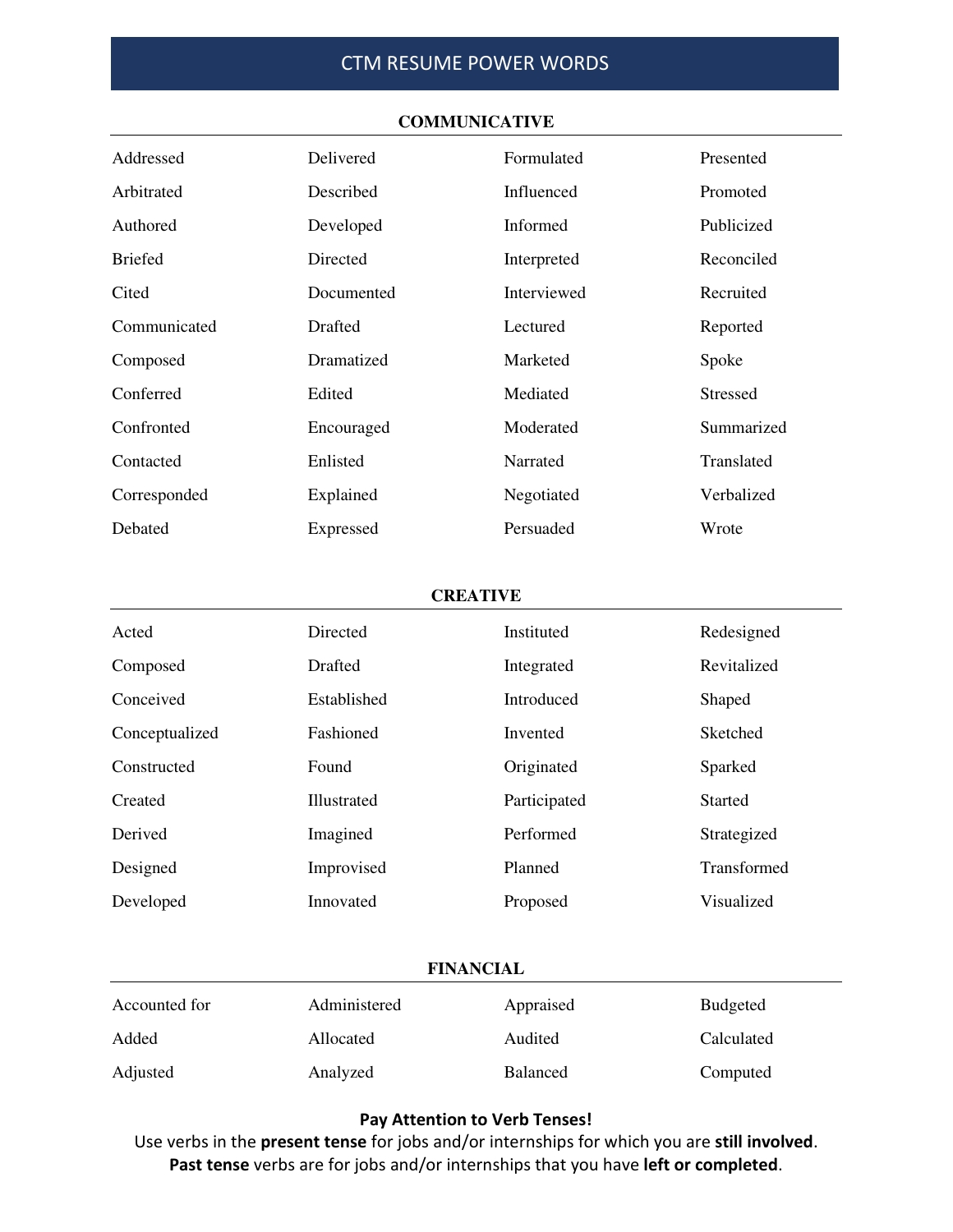| Addressed      | Delivered      | Formulated  | Presented       |
|----------------|----------------|-------------|-----------------|
| Arbitrated     | Described      | Influenced  | Promoted        |
| Authored       | Developed      | Informed    | Publicized      |
| <b>Briefed</b> | Directed       | Interpreted | Reconciled      |
| Cited          | Documented     | Interviewed | Recruited       |
| Communicated   | <b>Drafted</b> | Lectured    | Reported        |
| Composed       | Dramatized     | Marketed    | Spoke           |
| Conferred      | Edited         | Mediated    | <b>Stressed</b> |
| Confronted     | Encouraged     | Moderated   | Summarized      |
| Contacted      | Enlisted       | Narrated    | Translated      |
| Corresponded   | Explained      | Negotiated  | Verbalized      |
| Debated        | Expressed      | Persuaded   | Wrote           |

#### **COMMUNICATIVE**

#### **CREATIVE**

| Acted          | <b>Directed</b> | Instituted   | Redesigned     |
|----------------|-----------------|--------------|----------------|
| Composed       | <b>Drafted</b>  | Integrated   | Revitalized    |
| Conceived      | Established     | Introduced   | Shaped         |
| Conceptualized | Fashioned       | Invented     | Sketched       |
| Constructed    | Found           | Originated   | Sparked        |
| Created        | Illustrated     | Participated | <b>Started</b> |
| Derived        | Imagined        | Performed    | Strategized    |
| Designed       | Improvised      | Planned      | Transformed    |
| Developed      | Innovated       | Proposed     | Visualized     |

### **FINANCIAL**

| Accounted for | Administered | Appraised       | <b>Budgeted</b> |
|---------------|--------------|-----------------|-----------------|
| Added         | Allocated    | Audited         | Calculated      |
| Adjusted      | Analyzed     | <b>Balanced</b> | Computed        |

## **Pay Attention to Verb Tenses!**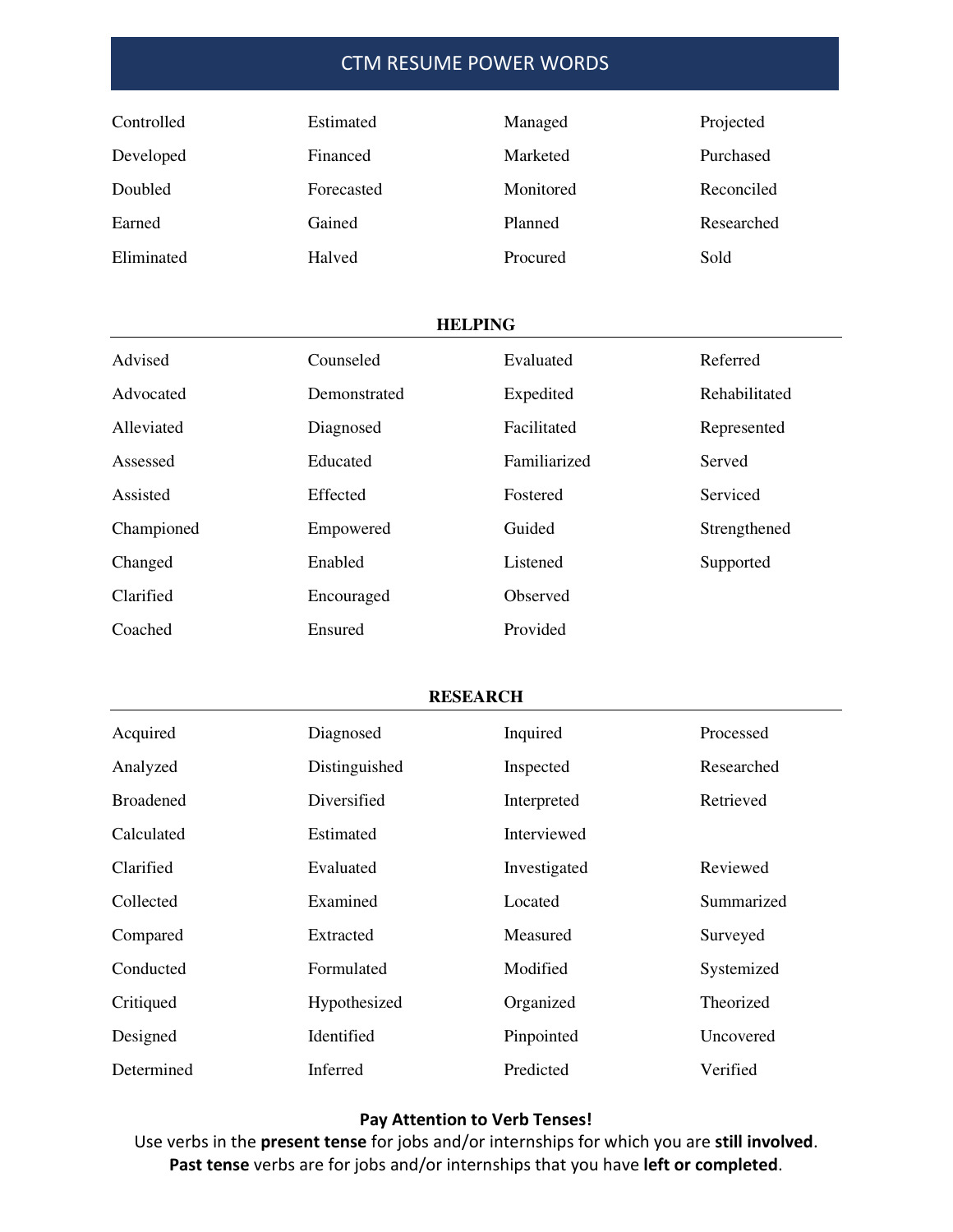| Controlled | <b>Estimated</b> | Managed   | Projected  |
|------------|------------------|-----------|------------|
| Developed  | Financed         | Marketed  | Purchased  |
| Doubled    | Forecasted       | Monitored | Reconciled |
| Earned     | Gained           | Planned   | Researched |
| Eliminated | Halved           | Procured  | Sold       |

### **HELPING**

| Advised    | Counseled    | Evaluated    | Referred      |
|------------|--------------|--------------|---------------|
| Advocated  | Demonstrated | Expedited    | Rehabilitated |
| Alleviated | Diagnosed    | Facilitated  | Represented   |
| Assessed   | Educated     | Familiarized | Served        |
| Assisted   | Effected     | Fostered     | Serviced      |
| Championed | Empowered    | Guided       | Strengthened  |
| Changed    | Enabled      | Listened     | Supported     |
| Clarified  | Encouraged   | Observed     |               |
| Coached    | Ensured      | Provided     |               |

### **RESEARCH**

| Acquired         | Diagnosed        | Inquired     | Processed  |
|------------------|------------------|--------------|------------|
| Analyzed         | Distinguished    | Inspected    | Researched |
| <b>Broadened</b> | Diversified      | Interpreted  | Retrieved  |
| Calculated       | <b>Estimated</b> | Interviewed  |            |
| Clarified        | Evaluated        | Investigated | Reviewed   |
| Collected        | Examined         | Located      | Summarized |
| Compared         | Extracted        | Measured     | Surveyed   |
| Conducted        | Formulated       | Modified     | Systemized |
| Critiqued        | Hypothesized     | Organized    | Theorized  |
| Designed         | Identified       | Pinpointed   | Uncovered  |
| Determined       | Inferred         | Predicted    | Verified   |

## **Pay Attention to Verb Tenses!**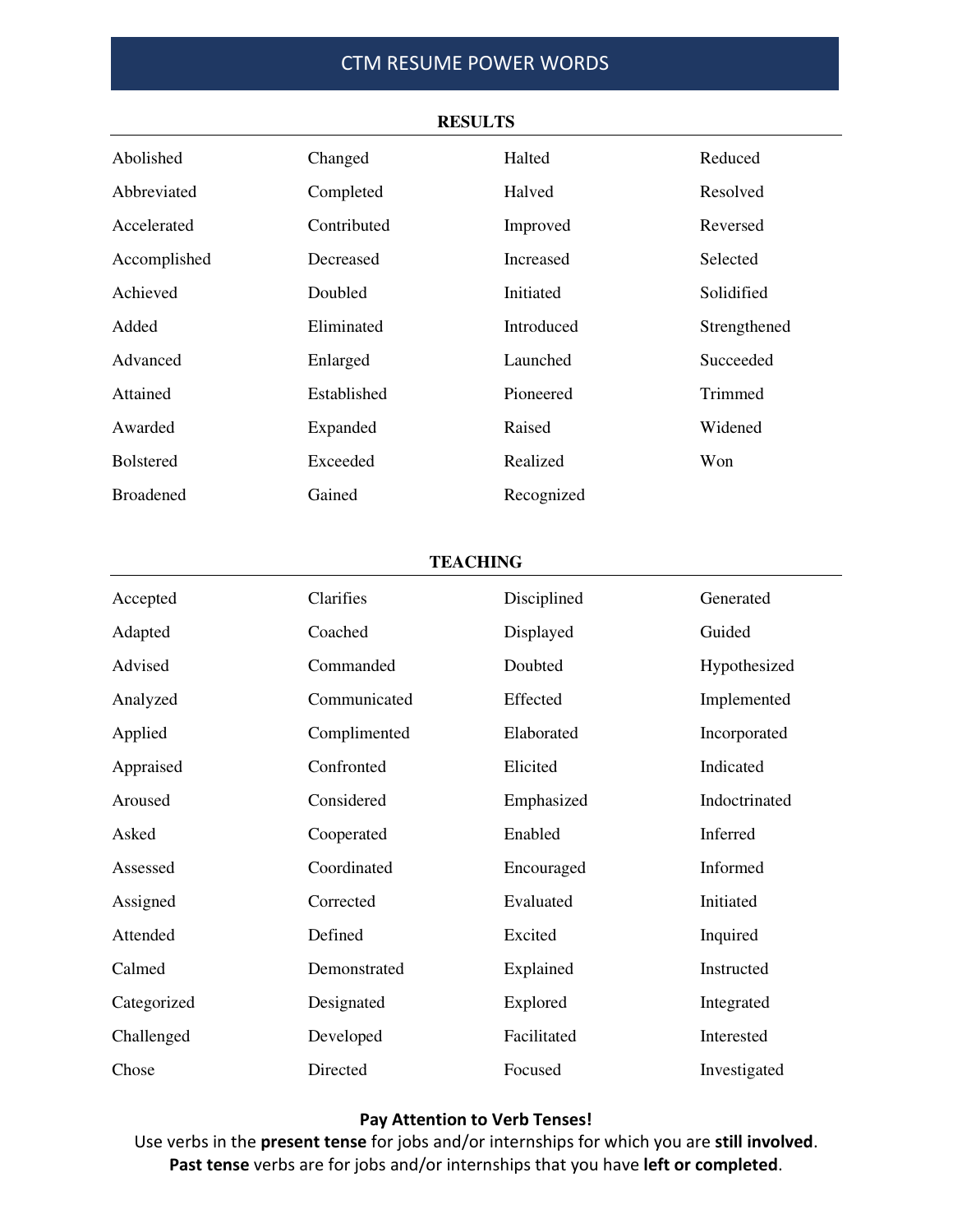| Abolished        | Changed     | Halted     | Reduced      |
|------------------|-------------|------------|--------------|
| Abbreviated      | Completed   | Halved     | Resolved     |
| Accelerated      | Contributed | Improved   | Reversed     |
| Accomplished     | Decreased   | Increased  | Selected     |
| Achieved         | Doubled     | Initiated  | Solidified   |
| Added            | Eliminated  | Introduced | Strengthened |
| Advanced         | Enlarged    | Launched   | Succeeded    |
| Attained         | Established | Pioneered  | Trimmed      |
| Awarded          | Expanded    | Raised     | Widened      |
| <b>Bolstered</b> | Exceeded    | Realized   | Won          |
| <b>Broadened</b> | Gained      | Recognized |              |

#### **RESULTS**

### **TEACHING**

| Accepted    | Clarifies    | Disciplined | Generated     |
|-------------|--------------|-------------|---------------|
| Adapted     | Coached      | Displayed   | Guided        |
| Advised     | Commanded    | Doubted     | Hypothesized  |
| Analyzed    | Communicated | Effected    | Implemented   |
| Applied     | Complimented | Elaborated  | Incorporated  |
| Appraised   | Confronted   | Elicited    | Indicated     |
| Aroused     | Considered   | Emphasized  | Indoctrinated |
| Asked       | Cooperated   | Enabled     | Inferred      |
| Assessed    | Coordinated  | Encouraged  | Informed      |
| Assigned    | Corrected    | Evaluated   | Initiated     |
| Attended    | Defined      | Excited     | Inquired      |
| Calmed      | Demonstrated | Explained   | Instructed    |
| Categorized | Designated   | Explored    | Integrated    |
| Challenged  | Developed    | Facilitated | Interested    |
| Chose       | Directed     | Focused     | Investigated  |

## **Pay Attention to Verb Tenses!**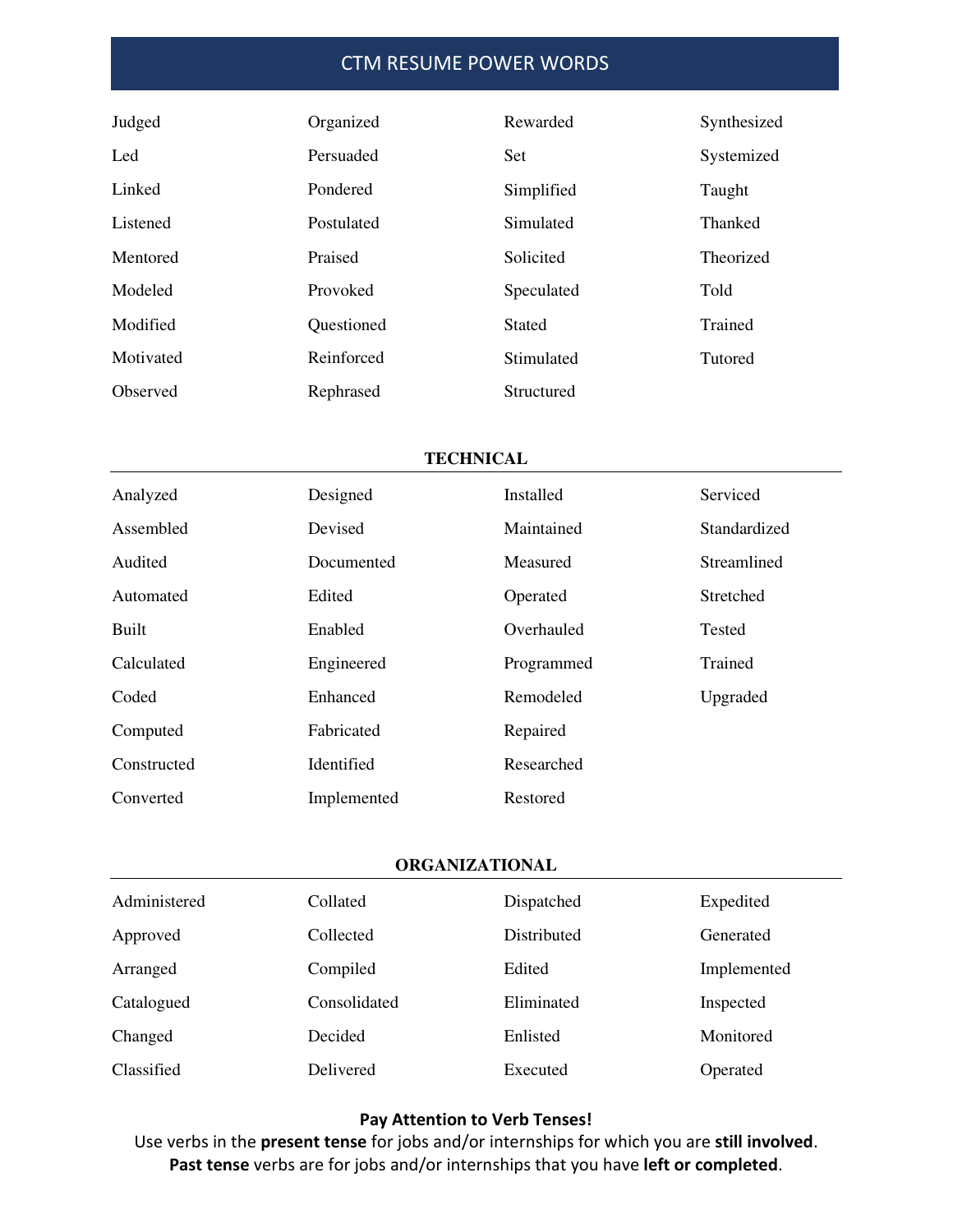| Judged    | Organized  | Rewarded      | Synthesized    |
|-----------|------------|---------------|----------------|
| Led       | Persuaded  | Set           | Systemized     |
| Linked    | Pondered   | Simplified    | Taught         |
| Listened  | Postulated | Simulated     | Thanked        |
| Mentored  | Praised    | Solicited     | Theorized      |
| Modeled   | Provoked   | Speculated    | Told           |
| Modified  | Questioned | <b>Stated</b> | Trained        |
| Motivated | Reinforced | Stimulated    | <b>Tutored</b> |
| Observed  | Rephrased  | Structured    |                |

### **TECHNICAL**

| Analyzed    | Designed    | Installed  | Serviced         |
|-------------|-------------|------------|------------------|
| Assembled   | Devised     | Maintained | Standardized     |
| Audited     | Documented  | Measured   | Streamlined      |
| Automated   | Edited      | Operated   | <b>Stretched</b> |
| Built       | Enabled     | Overhauled | Tested           |
| Calculated  | Engineered  | Programmed | Trained          |
| Coded       | Enhanced    | Remodeled  | Upgraded         |
| Computed    | Fabricated  | Repaired   |                  |
| Constructed | Identified  | Researched |                  |
| Converted   | Implemented | Restored   |                  |

### **ORGANIZATIONAL**

| Administered      | Collated     | Dispatched  | Expedited   |
|-------------------|--------------|-------------|-------------|
| Approved          | Collected    | Distributed | Generated   |
| Arranged          | Compiled     | Edited      | Implemented |
| Catalogued        | Consolidated | Eliminated  | Inspected   |
| Changed           | Decided      | Enlisted    | Monitored   |
| <b>Classified</b> | Delivered    | Executed    | Operated    |

## **Pay Attention to Verb Tenses!**